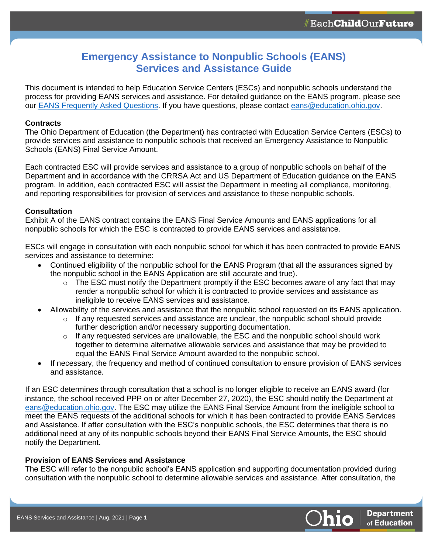# **Emergency Assistance to Nonpublic Schools (EANS) Services and Assistance Guide**

This document is intended to help Education Service Centers (ESCs) and nonpublic schools understand the process for providing EANS services and assistance. For detailed guidance on the EANS program, please see our [EANS Frequently Asked Questions.](https://ccip.ode.state.oh.us/DocumentLibrary/ViewDocument.aspx?DocumentKey=86690) If you have questions, please contact [eans@education.ohio.gov.](mailto:eans@education.ohio.gov)

# **Contracts**

The Ohio Department of Education (the Department) has contracted with Education Service Centers (ESCs) to provide services and assistance to nonpublic schools that received an Emergency Assistance to Nonpublic Schools (EANS) Final Service Amount.

Each contracted ESC will provide services and assistance to a group of nonpublic schools on behalf of the Department and in accordance with the CRRSA Act and US Department of Education guidance on the EANS program. In addition, each contracted ESC will assist the Department in meeting all compliance, monitoring, and reporting responsibilities for provision of services and assistance to these nonpublic schools.

# **Consultation**

Exhibit A of the EANS contract contains the EANS Final Service Amounts and EANS applications for all nonpublic schools for which the ESC is contracted to provide EANS services and assistance.

ESCs will engage in consultation with each nonpublic school for which it has been contracted to provide EANS services and assistance to determine:

- Continued eligibility of the nonpublic school for the EANS Program (that all the assurances signed by the nonpublic school in the EANS Application are still accurate and true).
	- $\circ$  The ESC must notify the Department promptly if the ESC becomes aware of any fact that may render a nonpublic school for which it is contracted to provide services and assistance as ineligible to receive EANS services and assistance.
- Allowability of the services and assistance that the nonpublic school requested on its EANS application.
	- $\circ$  If any requested services and assistance are unclear, the nonpublic school should provide further description and/or necessary supporting documentation.
	- $\circ$  If any requested services are unallowable, the ESC and the nonpublic school should work together to determine alternative allowable services and assistance that may be provided to equal the EANS Final Service Amount awarded to the nonpublic school.
- If necessary, the frequency and method of continued consultation to ensure provision of EANS services and assistance.

If an ESC determines through consultation that a school is no longer eligible to receive an EANS award (for instance, the school received PPP on or after December 27, 2020), the ESC should notify the Department at [eans@education.ohio.gov.](mailto:eans@education.ohio.gov) The ESC may utilize the EANS Final Service Amount from the ineligible school to meet the EANS requests of the additional schools for which it has been contracted to provide EANS Services and Assistance. If after consultation with the ESC's nonpublic schools, the ESC determines that there is no additional need at any of its nonpublic schools beyond their EANS Final Service Amounts, the ESC should notify the Department.

## **Provision of EANS Services and Assistance**

The ESC will refer to the nonpublic school's EANS application and supporting documentation provided during consultation with the nonpublic school to determine allowable services and assistance. After consultation, the

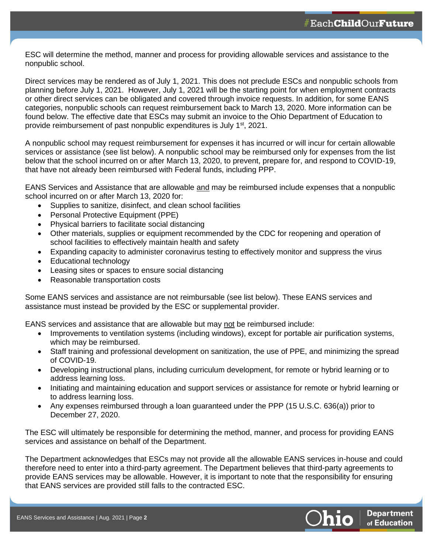ESC will determine the method, manner and process for providing allowable services and assistance to the nonpublic school.

Direct services may be rendered as of July 1, 2021. This does not preclude ESCs and nonpublic schools from planning before July 1, 2021. However, July 1, 2021 will be the starting point for when employment contracts or other direct services can be obligated and covered through invoice requests. In addition, for some EANS categories, nonpublic schools can request reimbursement back to March 13, 2020. More information can be found below. The effective date that ESCs may submit an invoice to the Ohio Department of Education to provide reimbursement of past nonpublic expenditures is July 1<sup>st</sup>, 2021.

A nonpublic school may request reimbursement for expenses it has incurred or will incur for certain allowable services or assistance (see list below). A nonpublic school may be reimbursed only for expenses from the list below that the school incurred on or after March 13, 2020, to prevent, prepare for, and respond to COVID-19, that have not already been reimbursed with Federal funds, including PPP.

EANS Services and Assistance that are allowable and may be reimbursed include expenses that a nonpublic school incurred on or after March 13, 2020 for:

- Supplies to sanitize, disinfect, and clean school facilities
- Personal Protective Equipment (PPE)
- Physical barriers to facilitate social distancing
- Other materials, supplies or equipment recommended by the CDC for reopening and operation of school facilities to effectively maintain health and safety
- Expanding capacity to administer coronavirus testing to effectively monitor and suppress the virus
- Educational technology
- Leasing sites or spaces to ensure social distancing
- Reasonable transportation costs

Some EANS services and assistance are not reimbursable (see list below). These EANS services and assistance must instead be provided by the ESC or supplemental provider.

EANS services and assistance that are allowable but may not be reimbursed include:

- Improvements to ventilation systems (including windows), except for portable air purification systems, which may be reimbursed.
- Staff training and professional development on sanitization, the use of PPE, and minimizing the spread of COVID-19.
- Developing instructional plans, including curriculum development, for remote or hybrid learning or to address learning loss.
- Initiating and maintaining education and support services or assistance for remote or hybrid learning or to address learning loss.
- Any expenses reimbursed through a loan guaranteed under the PPP (15 U.S.C. 636(a)) prior to December 27, 2020.

The ESC will ultimately be responsible for determining the method, manner, and process for providing EANS services and assistance on behalf of the Department.

The Department acknowledges that ESCs may not provide all the allowable EANS services in-house and could therefore need to enter into a third-party agreement. The Department believes that third-party agreements to provide EANS services may be allowable. However, it is important to note that the responsibility for ensuring that EANS services are provided still falls to the contracted ESC.

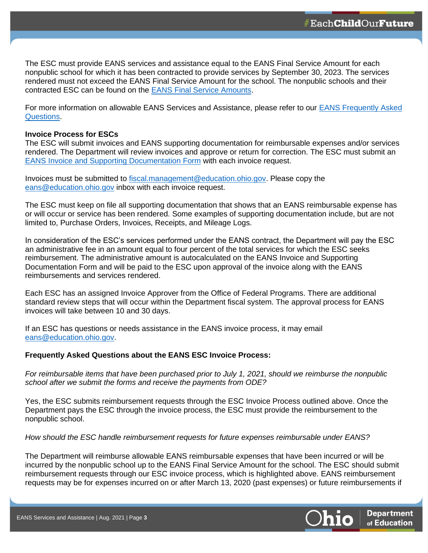The ESC must provide EANS services and assistance equal to the EANS Final Service Amount for each nonpublic school for which it has been contracted to provide services by September 30, 2023. The services rendered must not exceed the EANS Final Service Amount for the school. The nonpublic schools and their contracted ESC can be found on the [EANS Final Service Amounts.](https://ccip.ode.state.oh.us/DocumentLibrary/ViewDocument.aspx?DocumentKey=86830)

For more information on allowable EANS Services and Assistance, please refer to our [EANS Frequently Asked](https://ccip.ode.state.oh.us/DocumentLibrary/ViewDocument.aspx?DocumentKey=86690)  [Questions.](https://ccip.ode.state.oh.us/DocumentLibrary/ViewDocument.aspx?DocumentKey=86690)

## **Invoice Process for ESCs**

The ESC will submit invoices and EANS supporting documentation for reimbursable expenses and/or services rendered. The Department will review invoices and approve or return for correction. The ESC must submit an [EANS Invoice and Supporting Documentation Form](https://ccip.ode.state.oh.us/DocumentLibrary/ViewDocument.aspx?DocumentKey=87450) with each invoice request.

Invoices must be submitted to [fiscal.management@education.ohio.gov.](mailto:fiscal.management@education.ohio.gov) Please copy the [eans@education.ohio.gov](mailto:eans@education.ohio.gov) inbox with each invoice request.

The ESC must keep on file all supporting documentation that shows that an EANS reimbursable expense has or will occur or service has been rendered. Some examples of supporting documentation include, but are not limited to, Purchase Orders, Invoices, Receipts, and Mileage Logs.

In consideration of the ESC's services performed under the EANS contract, the Department will pay the ESC an administrative fee in an amount equal to four percent of the total services for which the ESC seeks reimbursement. The administrative amount is autocalculated on the EANS Invoice and Supporting Documentation Form and will be paid to the ESC upon approval of the invoice along with the EANS reimbursements and services rendered.

Each ESC has an assigned Invoice Approver from the Office of Federal Programs. There are additional standard review steps that will occur within the Department fiscal system. The approval process for EANS invoices will take between 10 and 30 days.

If an ESC has questions or needs assistance in the EANS invoice process, it may email [eans@education.ohio.gov.](mailto:eans@education.ohio.gov)

## **Frequently Asked Questions about the EANS ESC Invoice Process:**

*For reimbursable items that have been purchased prior to July 1, 2021, should we reimburse the nonpublic school after we submit the forms and receive the payments from ODE?* 

Yes, the ESC submits reimbursement requests through the ESC Invoice Process outlined above. Once the Department pays the ESC through the invoice process, the ESC must provide the reimbursement to the nonpublic school.

*How should the ESC handle reimbursement requests for future expenses reimbursable under EANS?*

The Department will reimburse allowable EANS reimbursable expenses that have been incurred or will be incurred by the nonpublic school up to the EANS Final Service Amount for the school. The ESC should submit reimbursement requests through our ESC invoice process, which is highlighted above. EANS reimbursement requests may be for expenses incurred on or after March 13, 2020 (past expenses) or future reimbursements if

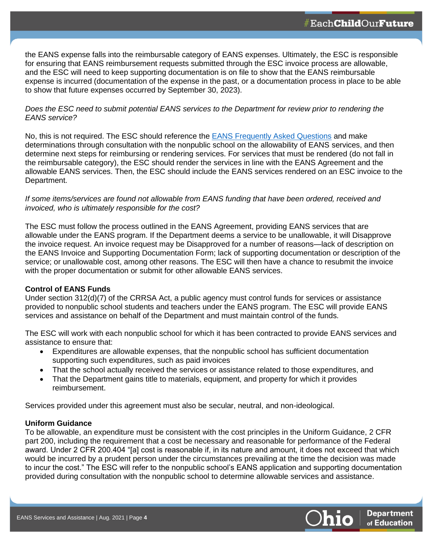the EANS expense falls into the reimbursable category of EANS expenses. Ultimately, the ESC is responsible for ensuring that EANS reimbursement requests submitted through the ESC invoice process are allowable, and the ESC will need to keep supporting documentation is on file to show that the EANS reimbursable expense is incurred (documentation of the expense in the past, or a documentation process in place to be able to show that future expenses occurred by September 30, 2023).

# *Does the ESC need to submit potential EANS services to the Department for review prior to rendering the EANS service?*

No, this is not required. The ESC should reference the [EANS Frequently Asked Questions](https://ccip.ode.state.oh.us/DocumentLibrary/ViewDocument.aspx?DocumentKey=86690) and make determinations through consultation with the nonpublic school on the allowability of EANS services, and then determine next steps for reimbursing or rendering services. For services that must be rendered (do not fall in the reimbursable category), the ESC should render the services in line with the EANS Agreement and the allowable EANS services. Then, the ESC should include the EANS services rendered on an ESC invoice to the Department.

## *If some items/services are found not allowable from EANS funding that have been ordered, received and invoiced, who is ultimately responsible for the cost?*

The ESC must follow the process outlined in the EANS Agreement, providing EANS services that are allowable under the EANS program. If the Department deems a service to be unallowable, it will Disapprove the invoice request. An invoice request may be Disapproved for a number of reasons—lack of description on the EANS Invoice and Supporting Documentation Form; lack of supporting documentation or description of the service; or unallowable cost, among other reasons. The ESC will then have a chance to resubmit the invoice with the proper documentation or submit for other allowable EANS services.

# **Control of EANS Funds**

Under section 312(d)(7) of the CRRSA Act, a public agency must control funds for services or assistance provided to nonpublic school students and teachers under the EANS program. The ESC will provide EANS services and assistance on behalf of the Department and must maintain control of the funds.

The ESC will work with each nonpublic school for which it has been contracted to provide EANS services and assistance to ensure that:

- Expenditures are allowable expenses, that the nonpublic school has sufficient documentation supporting such expenditures, such as paid invoices
- That the school actually received the services or assistance related to those expenditures, and
- That the Department gains title to materials, equipment, and property for which it provides reimbursement.

Services provided under this agreement must also be secular, neutral, and non-ideological.

# **Uniform Guidance**

To be allowable, an expenditure must be consistent with the cost principles in the Uniform Guidance, 2 CFR part 200, including the requirement that a cost be necessary and reasonable for performance of the Federal award. Under 2 CFR 200.404 "[a] cost is reasonable if, in its nature and amount, it does not exceed that which would be incurred by a prudent person under the circumstances prevailing at the time the decision was made to incur the cost." The ESC will refer to the nonpublic school's EANS application and supporting documentation provided during consultation with the nonpublic school to determine allowable services and assistance.